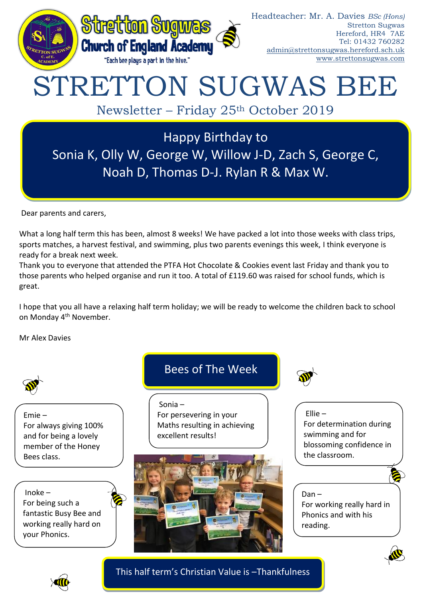

# STRETTON SUGWAS BEE

Newsletter – Friday 25th October 2019

Happy Birthday to Sonia K, Olly W, George W, Willow J-D, Zach S, George C, Noah D, Thomas D-J. Rylan R & Max W.

Dear parents and carers,

What a long half term this has been, almost 8 weeks! We have packed a lot into those weeks with class trips, sports matches, a harvest festival, and swimming, plus two parents evenings this week, I think everyone is ready for a break next week.

Thank you to everyone that attended the PTFA Hot Chocolate & Cookies event last Friday and thank you to those parents who helped organise and run it too. A total of £119.60 was raised for school funds, which is great.

I hope that you all have a relaxing half term holiday; we will be ready to welcome the children back to school on Monday 4<sup>th</sup> November.

Mr Alex Davies



Emie – For always giving 100% and for being a lovely member of the Honey Bees class.

Inoke – For being such a fantastic Busy Bee and working really hard on your Phonics.

## Bees of The Week

Sonia – For persevering in your Maths resulting in achieving excellent results!





Ellie – For determination during swimming and for blossoming confidence in the classroom.

## Dan –

For working really hard in Phonics and with his reading.





This half term's Christian Value is –Thankfulness